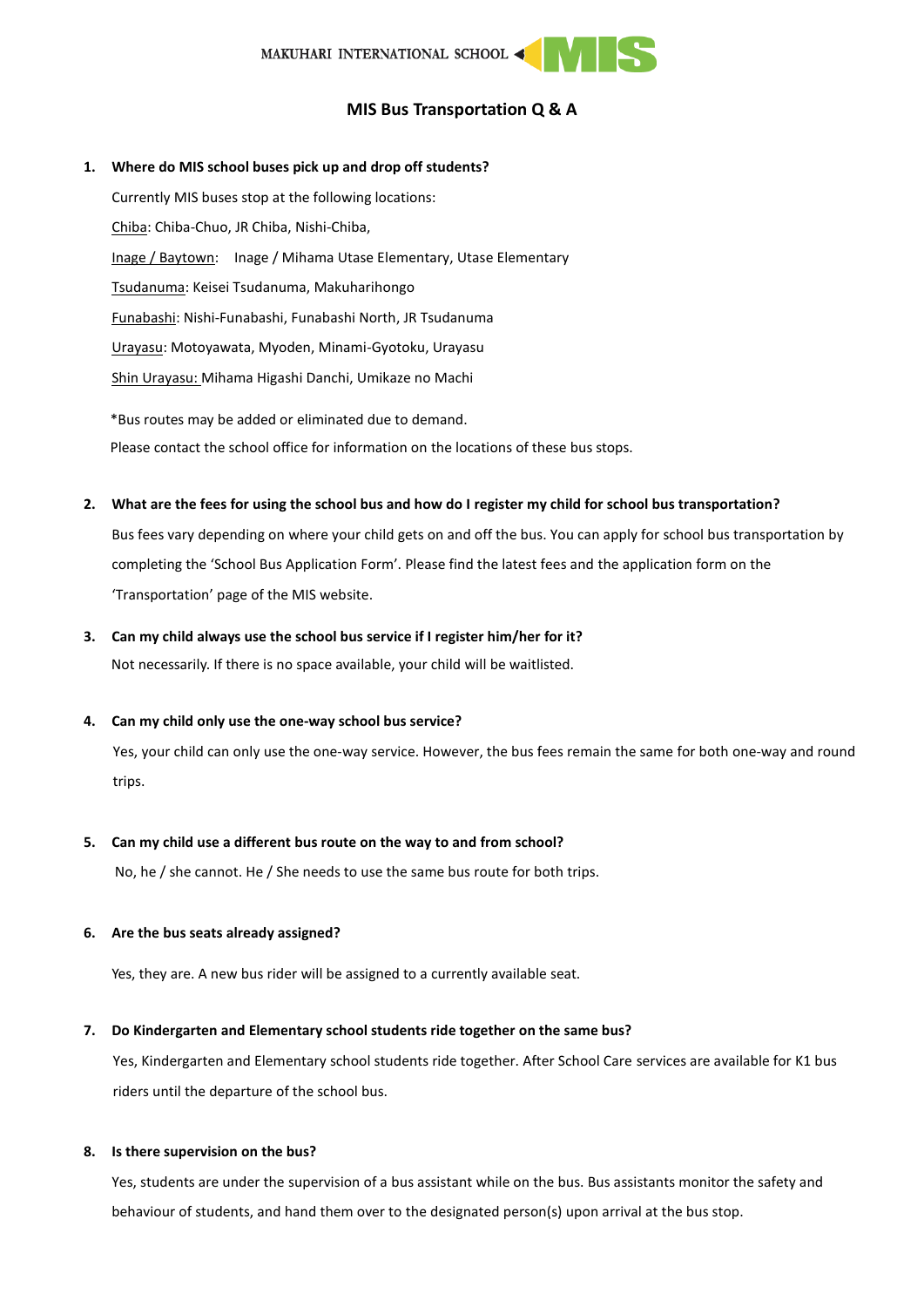# **MIS Bus Transportation Q & A**

# **1. Where do MIS school buses pick up and drop off students?**

Currently MIS buses stop at the following locations: Chiba: Chiba-Chuo, JR Chiba, Nishi-Chiba, Inage / Baytown: Inage / Mihama Utase Elementary, Utase Elementary Tsudanuma: Keisei Tsudanuma, Makuharihongo Funabashi: Nishi-Funabashi, Funabashi North, JR Tsudanuma Urayasu: Motoyawata, Myoden, Minami-Gyotoku, Urayasu Shin Urayasu: Mihama Higashi Danchi, Umikaze no Machi \*Bus routes may be added or eliminated due to demand.

Please contact the school office for information on the locations of these bus stops.

#### **2. What are the fees for using the school bus and how do I register my child for school bus transportation?**

Bus fees vary depending on where your child gets on and off the bus. You can apply for school bus transportation by completing the 'School Bus Application Form'. Please find the latest fees and the application form on the 'Transportation' page of the MIS website.

## **3. Can my child always use the school bus service if I register him/her for it?**

Not necessarily. If there is no space available, your child will be waitlisted.

#### **4. Can my child only use the one-way school bus service?**

Yes, your child can only use the one-way service. However, the bus fees remain the same for both one-way and round trips.

#### **5. Can my child use a different bus route on the way to and from school?**

No, he / she cannot. He / She needs to use the same bus route for both trips.

## **6. Are the bus seats already assigned?**

Yes, they are. A new bus rider will be assigned to a currently available seat.

## **7. Do Kindergarten and Elementary school students ride together on the same bus?**

Yes, Kindergarten and Elementary school students ride together. After School Care services are available for K1 bus riders until the departure of the school bus.

## **8. Is there supervision on the bus?**

Yes, students are under the supervision of a bus assistant while on the bus. Bus assistants monitor the safety and behaviour of students, and hand them over to the designated person(s) upon arrival at the bus stop.